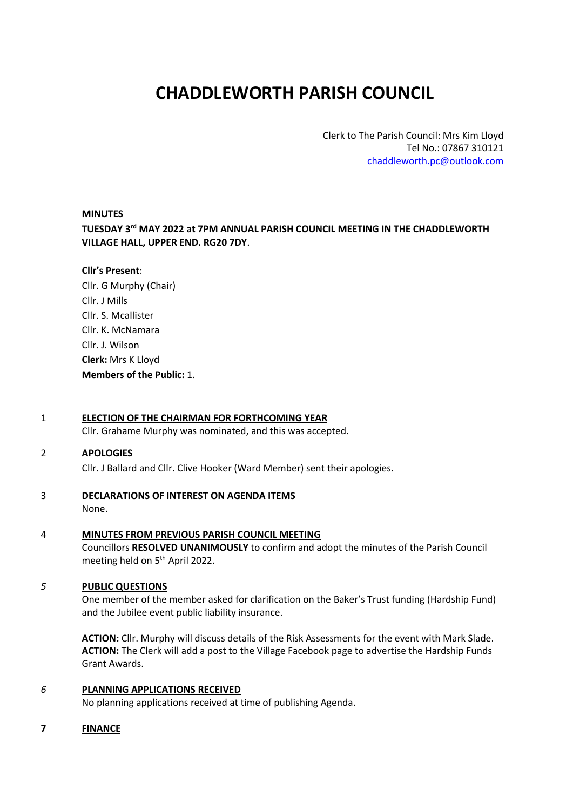# **CHADDLEWORTH PARISH COUNCIL**

Clerk to The Parish Council: Mrs Kim Lloyd Tel No.: 07867 310121 [chaddleworth.pc@outlook.com](mailto:chaddleworth.pc@outlook.com)

#### **MINUTES**

**TUESDAY 3 rd MAY 2022 at 7PM ANNUAL PARISH COUNCIL MEETING IN THE CHADDLEWORTH VILLAGE HALL, UPPER END. RG20 7DY**.

#### **Cllr's Present**:

Cllr. G Murphy (Chair) Cllr. J Mills Cllr. S. Mcallister Cllr. K. McNamara Cllr. J. Wilson **Clerk:** Mrs K Lloyd **Members of the Public:** 1.

#### 1 **ELECTION OF THE CHAIRMAN FOR FORTHCOMING YEAR**

Cllr. Grahame Murphy was nominated, and this was accepted.

#### 2 **APOLOGIES**

Cllr. J Ballard and Cllr. Clive Hooker (Ward Member) sent their apologies.

### 3 **DECLARATIONS OF INTEREST ON AGENDA ITEMS**

None.

#### 4 **MINUTES FROM PREVIOUS PARISH COUNCIL MEETING**

Councillors **RESOLVED UNANIMOUSLY** to confirm and adopt the minutes of the Parish Council meeting held on 5<sup>th</sup> April 2022.

#### *5* **PUBLIC QUESTIONS**

One member of the member asked for clarification on the Baker's Trust funding (Hardship Fund) and the Jubilee event public liability insurance.

**ACTION:** Cllr. Murphy will discuss details of the Risk Assessments for the event with Mark Slade. **ACTION:** The Clerk will add a post to the Village Facebook page to advertise the Hardship Funds Grant Awards.

#### *6* **PLANNING APPLICATIONS RECEIVED**

No planning applications received at time of publishing Agenda.

#### **7 FINANCE**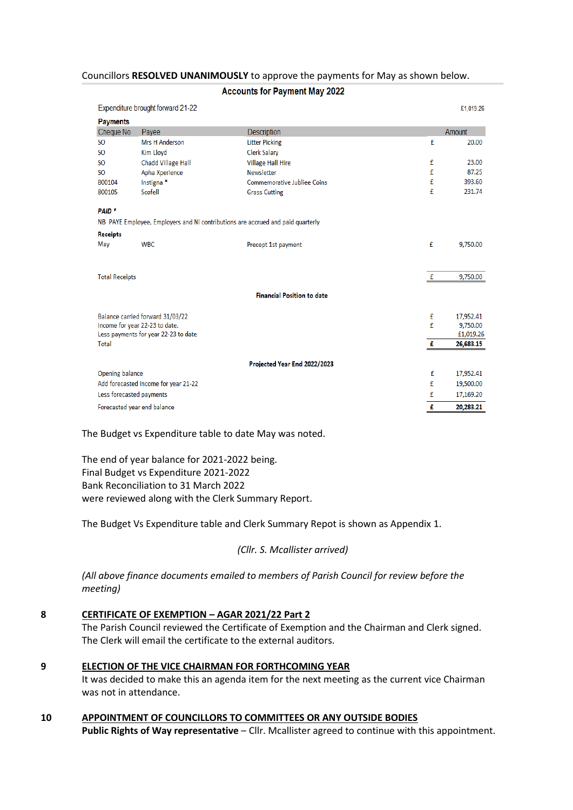#### Councillors **RESOLVED UNANIMOUSLY** to approve the payments for May as shown below.

#### **Accounts for Payment May 2022**

| Expenditure brought forward 21-22                                               |                                  | £1,019.26                         |   |           |  |  |  |
|---------------------------------------------------------------------------------|----------------------------------|-----------------------------------|---|-----------|--|--|--|
| <b>Payments</b>                                                                 |                                  |                                   |   |           |  |  |  |
| Cheque No                                                                       | Payee                            | <b>Description</b>                |   | Amount    |  |  |  |
| <b>SO</b>                                                                       | <b>Mrs H Anderson</b>            | <b>Litter Picking</b>             | £ | 20.00     |  |  |  |
| <b>SO</b>                                                                       | Kim Lloyd                        | <b>Clerk Salary</b>               |   |           |  |  |  |
| <b>SO</b>                                                                       | <b>Chadd Village Hall</b>        | <b>Village Hall Hire</b>          | £ | 23.00     |  |  |  |
| <b>SO</b>                                                                       | Apha Xperience                   | <b>Newsletter</b>                 | £ | 87.25     |  |  |  |
| 800104                                                                          | Instigna <sup>*</sup>            | Commemorative Jubliee Coins       | £ | 393.60    |  |  |  |
| 800105                                                                          | Scofell                          | <b>Grass Cutting</b>              | £ | 231.74    |  |  |  |
| PAID <sup>*</sup>                                                               |                                  |                                   |   |           |  |  |  |
| NB PAYE Employee, Employers and NI contributions are accrued and paid quarterly |                                  |                                   |   |           |  |  |  |
| <b>Receipts</b>                                                                 |                                  |                                   |   |           |  |  |  |
| May                                                                             | <b>WBC</b>                       | Precept 1st payment               | £ | 9,750.00  |  |  |  |
|                                                                                 |                                  |                                   |   |           |  |  |  |
| <b>Total Receipts</b>                                                           |                                  |                                   | f | 9,750.00  |  |  |  |
|                                                                                 |                                  | <b>Financial Position to date</b> |   |           |  |  |  |
|                                                                                 |                                  |                                   |   |           |  |  |  |
|                                                                                 | Balance carried forward 31/03/22 |                                   | £ | 17,952.41 |  |  |  |
| Income for year 22-23 to date.                                                  |                                  |                                   | £ | 9,750.00  |  |  |  |
| Less payments for year 22-23 to date                                            |                                  |                                   |   | £1,019.26 |  |  |  |
| Total                                                                           |                                  |                                   | £ | 26,683.15 |  |  |  |
|                                                                                 |                                  | Projected Year End 2022/2023      |   |           |  |  |  |
| Opening balance                                                                 |                                  |                                   | £ | 17,952.41 |  |  |  |
| Add forecasted Income for year 21-22                                            |                                  |                                   | £ | 19,500.00 |  |  |  |
| Less forecasted payments                                                        |                                  |                                   | £ | 17,169.20 |  |  |  |
| Forecasted year end balance                                                     |                                  |                                   | £ | 20,283.21 |  |  |  |

The Budget vs Expenditure table to date May was noted.

The end of year balance for 2021-2022 being. Final Budget vs Expenditure 2021-2022 Bank Reconciliation to 31 March 2022 were reviewed along with the Clerk Summary Report.

The Budget Vs Expenditure table and Clerk Summary Repot is shown as Appendix 1.

*(Cllr. S. Mcallister arrived)*

*(All above finance documents emailed to members of Parish Council for review before the meeting)* 

#### **8 CERTIFICATE OF EXEMPTION – AGAR 2021/22 Part 2**

The Parish Council reviewed the Certificate of Exemption and the Chairman and Clerk signed. The Clerk will email the certificate to the external auditors.

#### **9 ELECTION OF THE VICE CHAIRMAN FOR FORTHCOMING YEAR**

It was decided to make this an agenda item for the next meeting as the current vice Chairman was not in attendance.

**10 APPOINTMENT OF COUNCILLORS TO COMMITTEES OR ANY OUTSIDE BODIES** Public Rights of Way representative – Cllr. Mcallister agreed to continue with this appointment.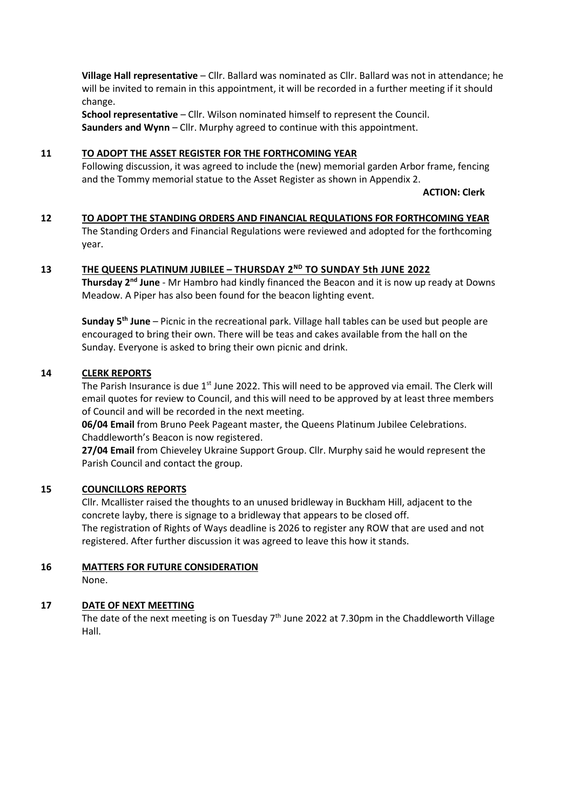**Village Hall representative** – Cllr. Ballard was nominated as Cllr. Ballard was not in attendance; he will be invited to remain in this appointment, it will be recorded in a further meeting if it should change.

**School representative** – Cllr. Wilson nominated himself to represent the Council. **Saunders and Wynn** – Cllr. Murphy agreed to continue with this appointment.

#### **11 TO ADOPT THE ASSET REGISTER FOR THE FORTHCOMING YEAR**

Following discussion, it was agreed to include the (new) memorial garden Arbor frame, fencing and the Tommy memorial statue to the Asset Register as shown in Appendix 2.

**ACTION: Clerk**

#### **12 TO ADOPT THE STANDING ORDERS AND FINANCIAL REQULATIONS FOR FORTHCOMING YEAR**

The Standing Orders and Financial Regulations were reviewed and adopted for the forthcoming year.

#### **13 THE QUEENS PLATINUM JUBILEE – THURSDAY 2 ND TO SUNDAY 5th JUNE 2022**

**Thursday 2nd June** - Mr Hambro had kindly financed the Beacon and it is now up ready at Downs Meadow. A Piper has also been found for the beacon lighting event.

**Sunday 5 th June** – Picnic in the recreational park. Village hall tables can be used but people are encouraged to bring their own. There will be teas and cakes available from the hall on the Sunday. Everyone is asked to bring their own picnic and drink.

#### **14 CLERK REPORTS**

The Parish Insurance is due  $1<sup>st</sup>$  June 2022. This will need to be approved via email. The Clerk will email quotes for review to Council, and this will need to be approved by at least three members of Council and will be recorded in the next meeting.

**06/04 Email** from Bruno Peek Pageant master, the Queens Platinum Jubilee Celebrations. Chaddleworth's Beacon is now registered.

**27/04 Email** from Chieveley Ukraine Support Group. Cllr. Murphy said he would represent the Parish Council and contact the group.

#### **15 COUNCILLORS REPORTS**

Cllr. Mcallister raised the thoughts to an unused bridleway in Buckham Hill, adjacent to the concrete layby, there is signage to a bridleway that appears to be closed off. The registration of Rights of Ways deadline is 2026 to register any ROW that are used and not registered. After further discussion it was agreed to leave this how it stands.

#### **16 MATTERS FOR FUTURE CONSIDERATION** None.

#### **17 DATE OF NEXT MEETTING**

The date of the next meeting is on Tuesday  $7<sup>th</sup>$  June 2022 at 7.30pm in the Chaddleworth Village Hall.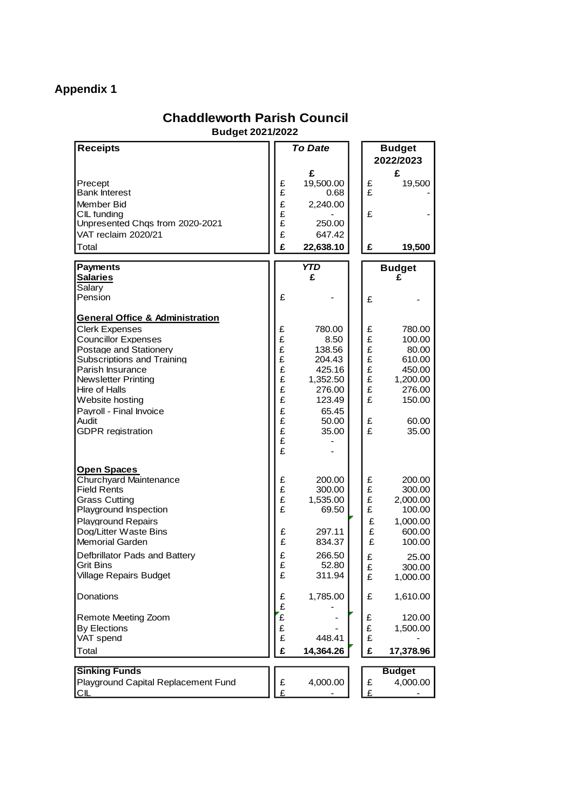# **Appendix 1**

### **Chaddleworth Parish Council**

**Budget 2021/2022**

| <b>Receipts</b>                                                                                                                                                                                                                                                                                                                                                     |                                                                         | To Date                                                                                                                   |  |                                                                         | <b>Budget</b><br>2022/2023                                                                                                                           |  |
|---------------------------------------------------------------------------------------------------------------------------------------------------------------------------------------------------------------------------------------------------------------------------------------------------------------------------------------------------------------------|-------------------------------------------------------------------------|---------------------------------------------------------------------------------------------------------------------------|--|-------------------------------------------------------------------------|------------------------------------------------------------------------------------------------------------------------------------------------------|--|
| Precept<br><b>Bank Interest</b><br>Member Bid<br>CIL funding<br>Unpresented Chqs from 2020-2021                                                                                                                                                                                                                                                                     | £<br>£<br>£<br>£<br>£                                                   | £<br>19,500.00<br>0.68<br>2,240.00<br>250.00                                                                              |  | £<br>£<br>£                                                             | £<br>19,500                                                                                                                                          |  |
| VAT reclaim 2020/21                                                                                                                                                                                                                                                                                                                                                 | £                                                                       | 647.42                                                                                                                    |  |                                                                         |                                                                                                                                                      |  |
| Total                                                                                                                                                                                                                                                                                                                                                               | £                                                                       | 22,638.10                                                                                                                 |  | £                                                                       | 19,500                                                                                                                                               |  |
| <b>Payments</b><br><u>Salaries</u><br>Salary                                                                                                                                                                                                                                                                                                                        |                                                                         | <b>YTD</b><br>£                                                                                                           |  |                                                                         | <b>Budget</b><br>£                                                                                                                                   |  |
| Pension                                                                                                                                                                                                                                                                                                                                                             | £                                                                       |                                                                                                                           |  | £                                                                       |                                                                                                                                                      |  |
| <b>General Office &amp; Administration</b><br><b>Clerk Expenses</b><br><b>Councillor Expenses</b><br>Postage and Stationery<br>Subscriptions and Training<br>Parish Insurance<br><b>Newsletter Printing</b><br>Hire of Halls<br>Website hosting<br>Payroll - Final Invoice<br>Audit<br><b>GDPR</b> registration                                                     | £<br>ደ<br>ደ<br>£<br>£<br>£<br>£<br>£<br>£<br>£<br>£<br>£<br>£           | 780.00<br>8.50<br>138.56<br>204.43<br>425.16<br>1,352.50<br>276.00<br>123.49<br>65.45<br>50.00<br>35.00                   |  | £<br>$\overline{\mathbf{f}}$<br>£<br>£<br>£<br>£<br>£<br>£<br>£<br>£    | 780.00<br>100.00<br>80.00<br>610.00<br>450.00<br>1,200.00<br>276.00<br>150.00<br>60.00<br>35.00                                                      |  |
| Open Spaces<br><b>Churchyard Maintenance</b><br><b>Field Rents</b><br><b>Grass Cutting</b><br>Playground Inspection<br><b>Playground Repairs</b><br>Dog/Litter Waste Bins<br><b>Memorial Garden</b><br>Defbrillator Pads and Battery<br><b>Grit Bins</b><br>Village Repairs Budget<br>Donations<br>Remote Meeting Zoom<br><b>By Elections</b><br>VAT spend<br>Total | £<br>£<br>£<br>£<br>£<br>£<br>£<br>£<br>£<br>£<br>£<br>£<br>£<br>£<br>£ | 200.00<br>300.00<br>1,535.00<br>69.50<br>297.11<br>834.37<br>266.50<br>52.80<br>311.94<br>1,785.00<br>448.41<br>14,364.26 |  | £<br>£<br>£<br>£<br>£<br>£<br>£<br>£<br>£<br>£<br>£<br>£<br>£<br>£<br>£ | 200.00<br>300.00<br>2,000.00<br>100.00<br>1,000.00<br>600.00<br>100.00<br>25.00<br>300.00<br>1,000.00<br>1,610.00<br>120.00<br>1,500.00<br>17,378.96 |  |
|                                                                                                                                                                                                                                                                                                                                                                     |                                                                         |                                                                                                                           |  |                                                                         |                                                                                                                                                      |  |
| <b>Sinking Funds</b><br>Playground Capital Replacement Fund<br><u>CIL</u>                                                                                                                                                                                                                                                                                           | £<br>£                                                                  | 4,000.00                                                                                                                  |  | £<br>£                                                                  | <b>Budget</b><br>4,000.00                                                                                                                            |  |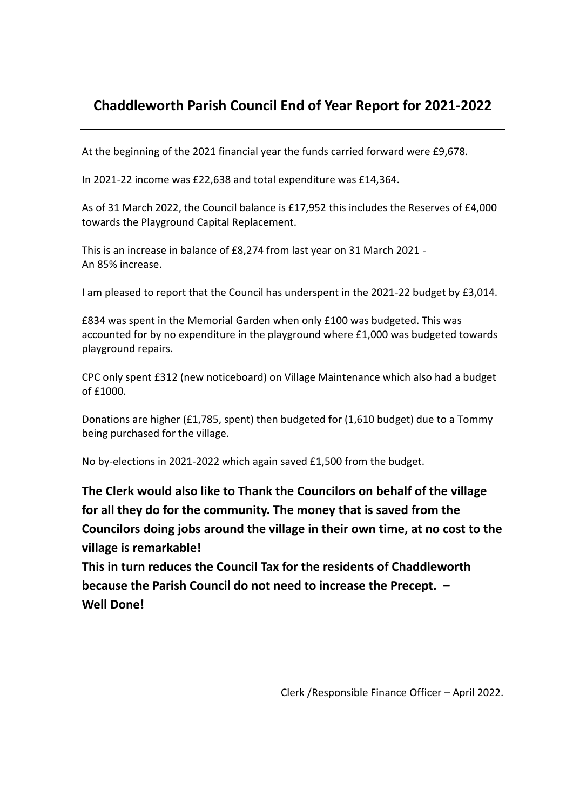## **Chaddleworth Parish Council End of Year Report for 2021-2022**

At the beginning of the 2021 financial year the funds carried forward were £9,678.

In 2021-22 income was £22,638 and total expenditure was £14,364.

As of 31 March 2022, the Council balance is £17,952 this includes the Reserves of £4,000 towards the Playground Capital Replacement.

This is an increase in balance of £8,274 from last year on 31 March 2021 - An 85% increase.

I am pleased to report that the Council has underspent in the 2021-22 budget by £3,014.

£834 was spent in the Memorial Garden when only £100 was budgeted. This was accounted for by no expenditure in the playground where £1,000 was budgeted towards playground repairs.

CPC only spent £312 (new noticeboard) on Village Maintenance which also had a budget of £1000.

Donations are higher (£1,785, spent) then budgeted for (1,610 budget) due to a Tommy being purchased for the village.

No by-elections in 2021-2022 which again saved £1,500 from the budget.

**The Clerk would also like to Thank the Councilors on behalf of the village for all they do for the community. The money that is saved from the Councilors doing jobs around the village in their own time, at no cost to the village is remarkable!** 

**This in turn reduces the Council Tax for the residents of Chaddleworth because the Parish Council do not need to increase the Precept. – Well Done!**

Clerk /Responsible Finance Officer – April 2022.